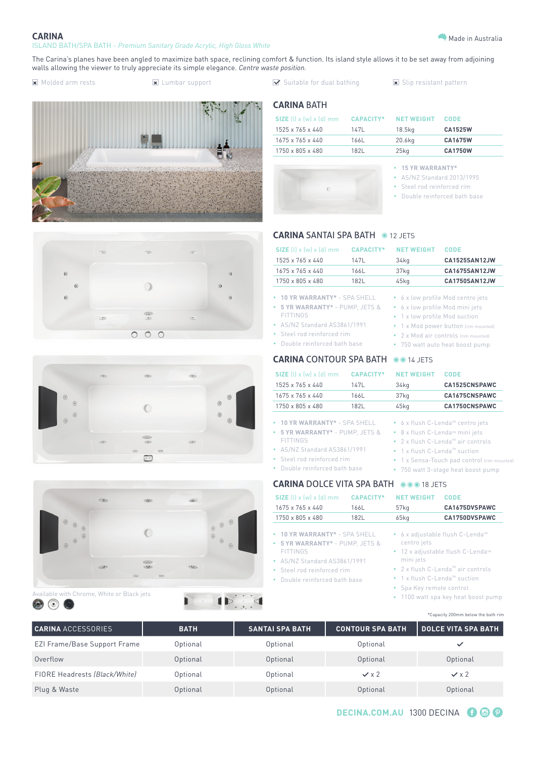

### **CARINA** ISLAND BATH/SPA BATH - *Premium Sanitary Grade Acrylic, High Gloss White*

The Carina's planes have been angled to maximize bath space, reclining comfort & function. Its island style allows it to be set away from adjoining walls allowing the viewer to truly appreciate its simple elegance. *Centre waste position.*

 $\Box$  Molded arm rests  $\Box$  Lumbar support  $\Box$  Suitable for dual bathing  $\Box$  Slip resistant pattern









 $\blacksquare$ 

 $\blacksquare$ 

**CARINA** BATH

| $SIZE$ (l) x (w) x (d) mm |      | <b>CAPACITY* NET WEIGHT</b> | CODE           |
|---------------------------|------|-----------------------------|----------------|
| 1525 x 765 x 440          | 147L | 18.5ka                      | CA1525W        |
| 1675 x 765 x 440          | 166L | 20.6kg                      | CA1675W        |
| 1750 x 805 x 480          | 1821 | $25$ kg                     | <b>CA1750W</b> |



- **• 15 YR WARRANTY\***
- AS/NZ Standard 2013/1995
- Steel rod reinforced rim
	- Double reinforced bath base

• 1 x flush C-Lenda™ suction

• 1 x Sensa-Touch pad control (rim mounted)

# **CARINA SANTAI SPA BATH @ 12 JETS**

| $SIZE$ (l) x (w) x (d) mm                                                                                                                                                          | <b>CAPACITY*</b> | <b>NET WEIGHT</b>                                                                                                                                                                                                                                | CODE                 |
|------------------------------------------------------------------------------------------------------------------------------------------------------------------------------------|------------------|--------------------------------------------------------------------------------------------------------------------------------------------------------------------------------------------------------------------------------------------------|----------------------|
| 1525 x 765 x 440                                                                                                                                                                   | 147L             | 34kg                                                                                                                                                                                                                                             | CA1525SAN12JW        |
| $1675 \times 765 \times 440$                                                                                                                                                       | 166L             | 37 <sub>kg</sub>                                                                                                                                                                                                                                 | CA1675SAN12JW        |
| 1750 x 805 x 480                                                                                                                                                                   | 182L             | 45kg                                                                                                                                                                                                                                             | <b>CA1750SAN12JW</b> |
| 10 YR WARRANTY* - SPA SHELL<br>5 YR WARRANTY* - PUMP, JETS &<br>٠<br><b>FITTINGS</b><br>AS/NZ Standard AS3861/1991<br>Steel rod reinforced rim<br>٠<br>Double reinforced bath base |                  | 6 x low profile Mod centro jets<br>6 x low profile Mod mini jets<br>۰<br>1 x low profile Mod suction<br>۰<br>1 x Mod power button (rim mounted)<br>2 x Mod air controls (rim mounted)<br>$\bullet$<br>750 watt auto heat boost pump<br>$\bullet$ |                      |
| <b>CARINA</b> CONTOUR SPA BATH                                                                                                                                                     |                  | $\odot$ 0 14 JETS                                                                                                                                                                                                                                |                      |
| $SIZE$ (l) x (w) x (d) mm                                                                                                                                                          | <b>CAPACITY*</b> | <b>NET WEIGHT</b>                                                                                                                                                                                                                                | CODE                 |
| 1525 x 765 x 440                                                                                                                                                                   | 147L             | 34kg                                                                                                                                                                                                                                             | CA1525CNSPAWC        |
| 1675 x 765 x 440                                                                                                                                                                   | 166L             | 37 <sub>kg</sub>                                                                                                                                                                                                                                 | CA1675CNSPAWC        |
| 1750 x 805 x 480                                                                                                                                                                   | 182L             | $45$ kg                                                                                                                                                                                                                                          | CA1750CNSPAWC        |
| 10 YR WARRANTY* - SPA SHELL<br>5 YR WARRANTY* - PUMP, JETS &<br>ö<br><b>FITTINGS</b>                                                                                               |                  | • 6 x flush C-Lenda™ centro jets<br>8 x flush C-Lenda <sup>™</sup> mini jets<br>٠<br>2 x flush C-Lenda <sup>™</sup> air controls                                                                                                                 |                      |

- AS/NZ Standard AS3861/1991
- Steel rod reinforced rim
- Double reinforced bath base

## **CARINA DOLCE VITA SPA BATH 00018 JETS** • 750 watt 3-stage heat boost pump

| SIZE $(l)$ x $(w)$ x $(d)$ mm                                                                                                                                                      | <b>CAPACITY*</b> | <b>NET WEIGHT</b>                                                                                | <b>CODE</b>                                                                                                                                                                                |  |
|------------------------------------------------------------------------------------------------------------------------------------------------------------------------------------|------------------|--------------------------------------------------------------------------------------------------|--------------------------------------------------------------------------------------------------------------------------------------------------------------------------------------------|--|
| 1675 x 765 x 440                                                                                                                                                                   | 166L             | 57 <sub>kg</sub>                                                                                 | CA1675DVSPAWC                                                                                                                                                                              |  |
| 1750 x 805 x 480                                                                                                                                                                   | 182L             | $65$ kg                                                                                          | CA1750DVSPAWC                                                                                                                                                                              |  |
| • 10 YR WARRANTY* - SPA SHELL<br>• 5 YR WARRANTY* - PUMP. JETS &<br><b>FITTINGS</b><br>• AS/NZ Standard AS3861/1991<br>• Steel rod reinforced rim<br>• Double reinforced bath base |                  | centro jets<br>mini jets<br>• 1 x flush C-Lenda <sup>M</sup> suction<br>• Spa Key remote control | ● 6 x adjustable flush C-Lenda <sup>™</sup><br>● 12 x adjustable flush C-Lenda <sup>™</sup><br>• $2 \times$ flush C-Lenda <sup>m</sup> air controls<br>• 1100 watt spa key heat boost pump |  |

\*Capacity 200mm below the bath rim

| <b>CARINA ACCESSORIES</b>     | <b>BATH</b> | I SANTAI SPA BATH ' | <b>CONTOUR SPA BATH</b> | DOLCE VITA SPA BATH |
|-------------------------------|-------------|---------------------|-------------------------|---------------------|
| EZI Frame/Base Support Frame  | Optional    | Optional            | Optional                | $\checkmark$        |
| Overflow                      | Optional    | Optional            | Optional                | Optional            |
| FIORE Headrests (Black/White) | Optional    | Optional            | $\checkmark$ x 2        | $\checkmark$ x 2    |
| Plug & Waste                  | Optional    | Optional            | Optional                | Optional            |